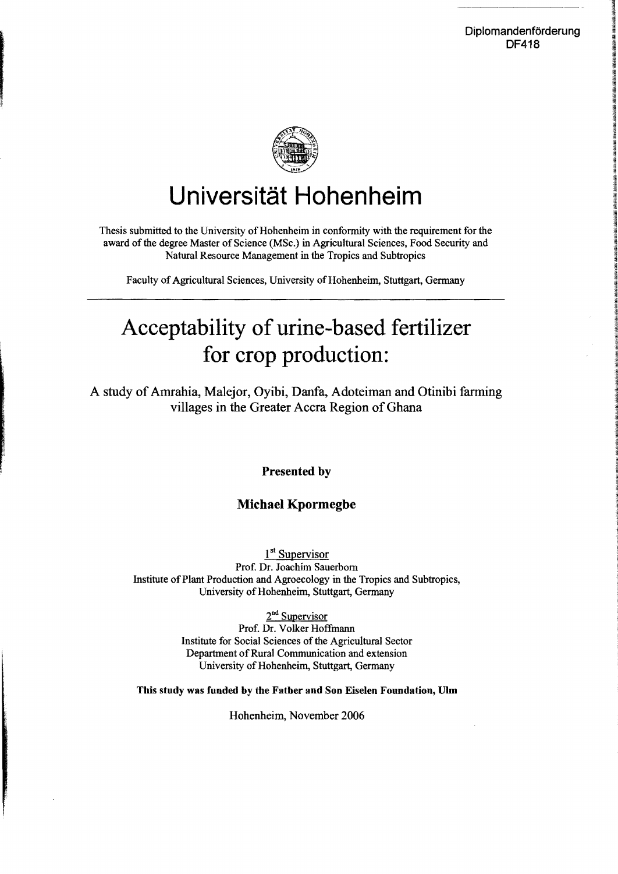

## **Universität Hohenheim**

Thesis submitted to the University of Hohenheim in conformity with the requirement for the award of the degree Master of Science (MSc.) in Agricultural Sciences, Food Security and Natural Resouree Management in the Tropics and Subtropics

Faculty of Agricultural Sciences, University of Hohenheim, Stuttgart, Germany

## Acceptability of urine-based fertilizer for crop production:

A study of Amrahia, Malejor, Oyibi, Danfa, Adoteiman and Otinibi farming villages in the Greater Accra Region of Ghana

Presented by

## Michael Kpormegbe

1<sup>st</sup> Supervisor Prof. Dr. Joachim Sauerbom Institute of Plant Production and Agroecology in the Tropics and Subtropics, University of Hohenheim, Stuttgart, Germany

> $2<sup>nd</sup>$  Supervisor Prof. Dr. Volker Hoffmann Institute for Social Sciences of the Agricultural Sector Department of Rural Communication and extension University of Hohenheim, Stuttgart, Germany

Tbis study was funded by tbe Fatber and Son Eiselen Foundation, Ulm

Hohenheim, November 2006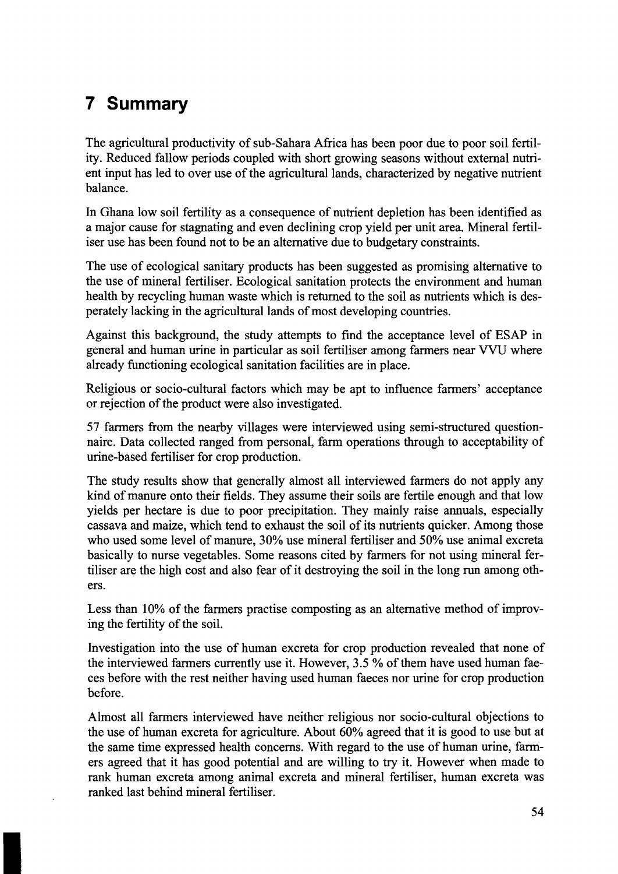## **7 Summary**

The agricultural productivity of sub-Sahara Africa has been poor due to poor soil fertility. Reduced fallow periods coupled with short growing seasons without external nutrient input has led to over use of the agricultural lands, characterized by negative nutrient balance.

In Ghana low soil fertility as a consequence of nutrient depletion has been identified as a major cause for stagnating and even declining crop yield per unit area. Mineral fertiliser use has been found not to be an alternative due to budgetary constraints.

The use of ecological sanitary products has been suggested as promising alternative to the use of mineral fertiliser. Ecological sanitation protects the environment and human health by recycling human waste which is returned to the soil as nutrients which is desperately lacking in the agricultural lands of most developing countries.

Against this background, the study attempts to find the acceptance level of ESAP in general and human urine in particular as soil fertiliser among farmers near VVU where already functioning ecological sanitation facilities are in place.

Religious or socio-cultural factors which may be apt to influence farmers' acceptance or rejection of the product were also investigated.

57 farmers from the nearby villages were interviewed using semi-structured questionnaire. Data collected ranged from personal, farm operations through to acceptability of urine-based fertiliser for crop production.

The study results show that generally almost all interviewed farmers do not apply any kind of manure onto their fields. They assume their soils are fertile enough and that low yields per hectare is due to poor precipitation. They mainly raise annuals, especially cassava and maize, which tend to exhaust the soil of its nutrients quicker. Among those who used some level of manure, 30% use mineral fertiliser and 50% use animal excreta basically to nurse vegetables. Some reasons cited by farmers for not using mineral fertiliser are the high cost and also fear of it destroying the soil in the long run among others.

Less than 10% of the farmers practise composting as an alternative method of improving the fertility of the soil.

Investigation into the use of human excreta for crop production revealed that none of the interviewed farmers currently use it. However, 3.5 % of them have used human faeces before with the rest neither having used human faeces nor urine for crop production before.

Almost all farmers interviewed have neither religious nor socio-cultural objections to the use of human excreta for agriculture. About 60% agreed that it is good to use but at the same time expressed health concerns. With regard to the use of human urine, farmers agreed that it has good potential and are willing to try it. However when made to rank human excreta among animal excreta and mineral fertiliser, human excreta was ranked last behind mineral fertiliser.